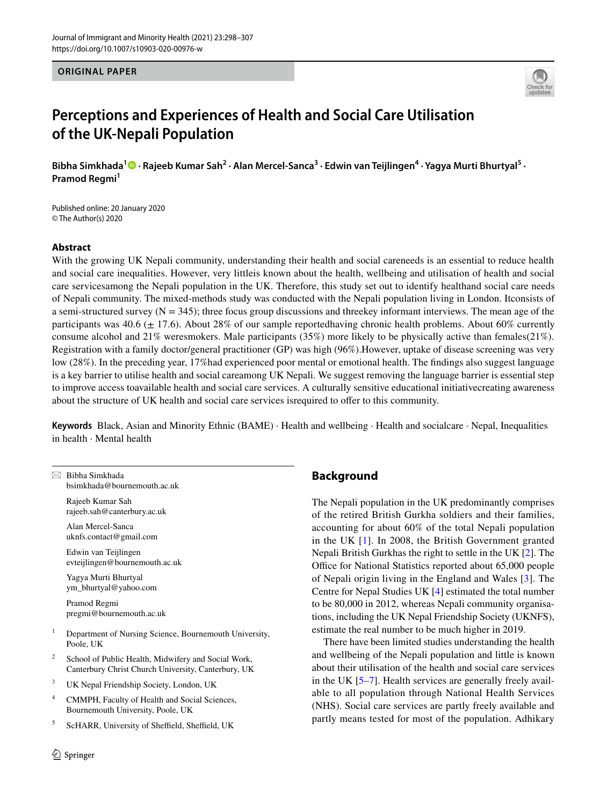**ORIGINAL PAPER**



# **Perceptions and Experiences of Health and Social Care Utilisation of the UK‑Nepali Population**

Bibha Simkhada<sup>1</sup> © • Rajeeb Kumar Sah<sup>2</sup> • Alan Mercel-Sanca<sup>3</sup> • Edwin van Teijlingen<sup>4</sup> • Yagya Murti Bhurtyal<sup>5</sup> • **Pramod Regmi<sup>1</sup>** 

Published online: 20 January 2020 © The Author(s) 2020

## **Abstract**

With the growing UK Nepali community, understanding their health and social careneeds is an essential to reduce health and social care inequalities. However, very littleis known about the health, wellbeing and utilisation of health and social care servicesamong the Nepali population in the UK. Therefore, this study set out to identify healthand social care needs of Nepali community. The mixed-methods study was conducted with the Nepali population living in London. Itconsists of a semi-structured survey  $(N = 345)$ ; three focus group discussions and threekey informant interviews. The mean age of the participants was 40.6 ( $\pm$  17.6). About 28% of our sample reportedhaving chronic health problems. About 60% currently consume alcohol and 21% weresmokers. Male participants (35%) more likely to be physically active than females(21%). Registration with a family doctor/general practitioner (GP) was high (96%).However, uptake of disease screening was very low (28%). In the preceding year, 17%had experienced poor mental or emotional health. The fndings also suggest language is a key barrier to utilise health and social careamong UK Nepali. We suggest removing the language barrier is essential step to improve access toavailable health and social care services. A culturally sensitive educational initiativecreating awareness about the structure of UK health and social care services isrequired to ofer to this community.

**Keywords** Black, Asian and Minority Ethnic (BAME) · Health and wellbeing · Health and socialcare · Nepal, Inequalities in health · Mental health

|                | $\boxtimes$ Bibha Simkhada<br>bsimkhada@bournemouth.ac.uk                                                  |
|----------------|------------------------------------------------------------------------------------------------------------|
|                | Rajeeb Kumar Sah<br>rajeeb.sah@canterbury.ac.uk                                                            |
|                | Alan Mercel-Sanca<br>uknfs.contact@gmail.com                                                               |
|                | Edwin van Teijlingen<br>evteijlingen@bournemouth.ac.uk                                                     |
|                | Yagya Murti Bhurtyal<br>ym_bhurtyal@yahoo.com                                                              |
|                | Pramod Regmi<br>pregmi@bournemouth.ac.uk                                                                   |
| $\mathbf{1}$   | Department of Nursing Science, Bournemouth University,<br>Poole, UK                                        |
| $\overline{c}$ | School of Public Health, Midwifery and Social Work,<br>Canterbury Christ Church University, Canterbury, UK |
| 3              | UK Nepal Friendship Society, London, UK                                                                    |
| 4              | CMMPH, Faculty of Health and Social Sciences,<br>Bournemouth University, Poole, UK                         |
| 5              | ScHARR, University of Sheffield, Sheffield, UK                                                             |

# **Background**

The Nepali population in the UK predominantly comprises of the retired British Gurkha soldiers and their families, accounting for about 60% of the total Nepali population in the UK [[1\]](#page-8-0). In 2008, the British Government granted Nepali British Gurkhas the right to settle in the UK [[2\]](#page-8-1). The Office for National Statistics reported about 65,000 people of Nepali origin living in the England and Wales [\[3\]](#page-8-2). The Centre for Nepal Studies UK [\[4](#page-8-3)] estimated the total number to be 80,000 in 2012, whereas Nepali community organisations, including the UK Nepal Friendship Society (UKNFS), estimate the real number to be much higher in 2019.

There have been limited studies understanding the health and wellbeing of the Nepali population and little is known about their utilisation of the health and social care services in the UK [\[5](#page-8-4)[–7](#page-8-5)]. Health services are generally freely available to all population through National Health Services (NHS). Social care services are partly freely available and partly means tested for most of the population. Adhikary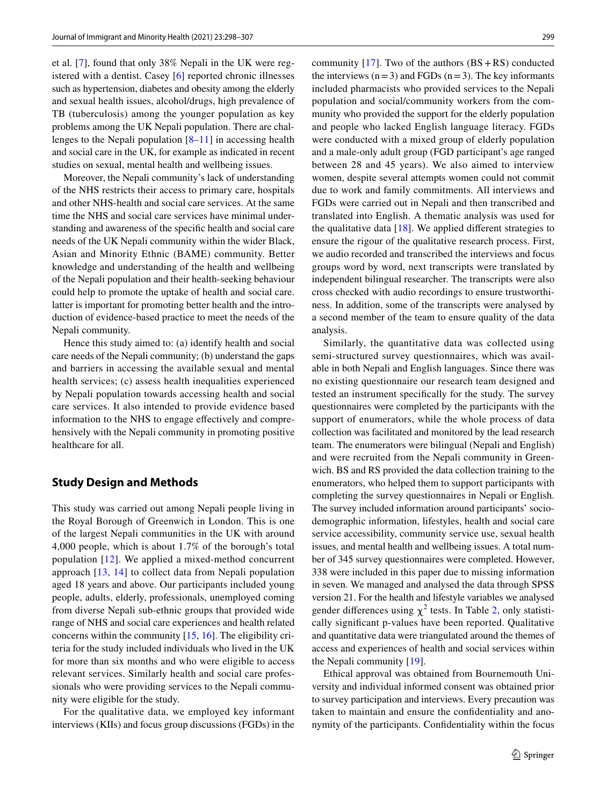et al. [\[7](#page-8-5)], found that only 38% Nepali in the UK were registered with a dentist. Casey [[6](#page-8-6)] reported chronic illnesses such as hypertension, diabetes and obesity among the elderly and sexual health issues, alcohol/drugs, high prevalence of TB (tuberculosis) among the younger population as key problems among the UK Nepali population. There are challenges to the Nepali population [\[8](#page-8-7)[–11\]](#page-8-8) in accessing health and social care in the UK, for example as indicated in recent studies on sexual, mental health and wellbeing issues.

Moreover, the Nepali community's lack of understanding of the NHS restricts their access to primary care, hospitals and other NHS-health and social care services. At the same time the NHS and social care services have minimal understanding and awareness of the specifc health and social care needs of the UK Nepali community within the wider Black, Asian and Minority Ethnic (BAME) community. Better knowledge and understanding of the health and wellbeing of the Nepali population and their health-seeking behaviour could help to promote the uptake of health and social care. latter is important for promoting better health and the introduction of evidence-based practice to meet the needs of the Nepali community.

Hence this study aimed to: (a) identify health and social care needs of the Nepali community; (b) understand the gaps and barriers in accessing the available sexual and mental health services; (c) assess health inequalities experienced by Nepali population towards accessing health and social care services. It also intended to provide evidence based information to the NHS to engage efectively and comprehensively with the Nepali community in promoting positive healthcare for all.

### **Study Design and Methods**

This study was carried out among Nepali people living in the Royal Borough of Greenwich in London. This is one of the largest Nepali communities in the UK with around 4,000 people, which is about 1.7% of the borough's total population [\[12\]](#page-8-9). We applied a mixed-method concurrent approach [\[13,](#page-8-10) [14\]](#page-8-11) to collect data from Nepali population aged 18 years and above. Our participants included young people, adults, elderly, professionals, unemployed coming from diverse Nepali sub-ethnic groups that provided wide range of NHS and social care experiences and health related concerns within the community [[15,](#page-8-12) [16\]](#page-8-13). The eligibility criteria for the study included individuals who lived in the UK for more than six months and who were eligible to access relevant services. Similarly health and social care professionals who were providing services to the Nepali community were eligible for the study.

For the qualitative data, we employed key informant interviews (KIIs) and focus group discussions (FGDs) in the community  $[17]$  $[17]$ . Two of the authors  $(BS + RS)$  conducted the interviews  $(n=3)$  and FGDs  $(n=3)$ . The key informants included pharmacists who provided services to the Nepali population and social/community workers from the community who provided the support for the elderly population and people who lacked English language literacy. FGDs were conducted with a mixed group of elderly population and a male-only adult group (FGD participant's age ranged between 28 and 45 years). We also aimed to interview women, despite several attempts women could not commit due to work and family commitments. All interviews and FGDs were carried out in Nepali and then transcribed and translated into English. A thematic analysis was used for the qualitative data  $[18]$  $[18]$ . We applied different strategies to ensure the rigour of the qualitative research process. First, we audio recorded and transcribed the interviews and focus groups word by word, next transcripts were translated by independent bilingual researcher. The transcripts were also cross checked with audio recordings to ensure trustworthiness. In addition, some of the transcripts were analysed by a second member of the team to ensure quality of the data analysis.

Similarly, the quantitative data was collected using semi-structured survey questionnaires, which was available in both Nepali and English languages. Since there was no existing questionnaire our research team designed and tested an instrument specifcally for the study. The survey questionnaires were completed by the participants with the support of enumerators, while the whole process of data collection was facilitated and monitored by the lead research team. The enumerators were bilingual (Nepali and English) and were recruited from the Nepali community in Greenwich. BS and RS provided the data collection training to the enumerators, who helped them to support participants with completing the survey questionnaires in Nepali or English. The survey included information around participants' sociodemographic information, lifestyles, health and social care service accessibility, community service use, sexual health issues, and mental health and wellbeing issues. A total number of 345 survey questionnaires were completed. However, 338 were included in this paper due to missing information in seven. We managed and analysed the data through SPSS version 21. For the health and lifestyle variables we analysed gender differences using  $\chi^2$  $\chi^2$  tests. In Table 2, only statistically signifcant p-values have been reported. Qualitative and quantitative data were triangulated around the themes of access and experiences of health and social services within the Nepali community [\[19](#page-8-16)].

Ethical approval was obtained from Bournemouth University and individual informed consent was obtained prior to survey participation and interviews. Every precaution was taken to maintain and ensure the confdentiality and anonymity of the participants. Confdentiality within the focus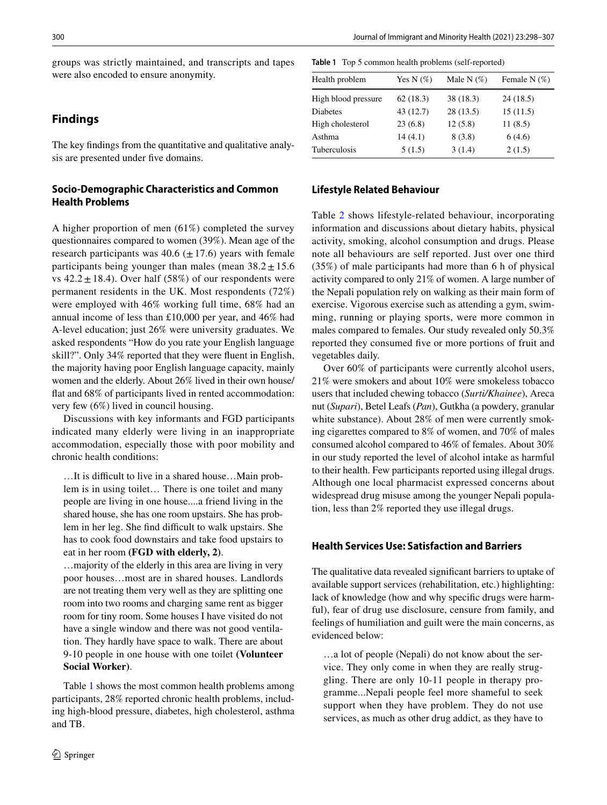groups was strictly maintained, and transcripts and tapes were also encoded to ensure anonymity.

# **Findings**

The key fndings from the quantitative and qualitative analysis are presented under fve domains.

# **Socio‑Demographic Characteristics and Common Health Problems**

A higher proportion of men (61%) completed the survey questionnaires compared to women (39%). Mean age of the research participants was  $40.6 \ (\pm 17.6)$  years with female participants being younger than males (mean  $38.2 \pm 15.6$ vs  $42.2 \pm 18.4$ ). Over half (58%) of our respondents were permanent residents in the UK. Most respondents (72%) were employed with 46% working full time, 68% had an annual income of less than £10,000 per year, and 46% had A-level education; just 26% were university graduates. We asked respondents "How do you rate your English language skill?". Only 34% reported that they were fuent in English, the majority having poor English language capacity, mainly women and the elderly. About 26% lived in their own house/ fat and 68% of participants lived in rented accommodation: very few (6%) lived in council housing.

Discussions with key informants and FGD participants indicated many elderly were living in an inappropriate accommodation, especially those with poor mobility and chronic health conditions:

...It is difficult to live in a shared house...Main problem is in using toilet… There is one toilet and many people are living in one house....a friend living in the shared house, she has one room upstairs. She has problem in her leg. She find difficult to walk upstairs. She has to cook food downstairs and take food upstairs to eat in her room **(FGD with elderly, 2)**.

…majority of the elderly in this area are living in very poor houses…most are in shared houses. Landlords are not treating them very well as they are splitting one room into two rooms and charging same rent as bigger room for tiny room. Some houses I have visited do not have a single window and there was not good ventilation. They hardly have space to walk. There are about 9-10 people in one house with one toilet **(Volunteer Social Worker)**.

Table [1](#page-2-0) shows the most common health problems among participants, 28% reported chronic health problems, including high-blood pressure, diabetes, high cholesterol, asthma and TB.

<span id="page-2-0"></span>**Table 1** Top 5 common health problems (self-reported)

| Health problem      | Yes N $(\%)$ | Male N $(\%)$ | Female N $(\%)$ |
|---------------------|--------------|---------------|-----------------|
| High blood pressure | 62(18.3)     | 38 (18.3)     | 24 (18.5)       |
| <b>Diabetes</b>     | 43 (12.7)    | 28(13.5)      | 15(11.5)        |
| High cholesterol    | 23(6.8)      | 12(5.8)       | 11(8.5)         |
| Asthma              | 14(4.1)      | 8(3.8)        | 6(4.6)          |
| Tuberculosis        | 5(1.5)       | 3(1.4)        | 2(1.5)          |

## **Lifestyle Related Behaviour**

Table [2](#page-3-0) shows lifestyle-related behaviour, incorporating information and discussions about dietary habits, physical activity, smoking, alcohol consumption and drugs. Please note all behaviours are self reported. Just over one third (35%) of male participants had more than 6 h of physical activity compared to only 21% of women. A large number of the Nepali population rely on walking as their main form of exercise. Vigorous exercise such as attending a gym, swimming, running or playing sports, were more common in males compared to females. Our study revealed only 50.3% reported they consumed five or more portions of fruit and vegetables daily.

Over 60% of participants were currently alcohol users, 21% were smokers and about 10% were smokeless tobacco users that included chewing tobacco (*Surti/Khainee*), Areca nut (*Supari*), Betel Leafs (*Pan*), Gutkha (a powdery, granular white substance). About 28% of men were currently smoking cigarettes compared to 8% of women, and 70% of males consumed alcohol compared to 46% of females. About 30% in our study reported the level of alcohol intake as harmful to their health. Few participants reported using illegal drugs. Although one local pharmacist expressed concerns about widespread drug misuse among the younger Nepali population, less than 2% reported they use illegal drugs.

## **Health Services Use: Satisfaction and Barriers**

The qualitative data revealed signifcant barriers to uptake of available support services (rehabilitation, etc.) highlighting: lack of knowledge (how and why specifc drugs were harmful), fear of drug use disclosure, censure from family, and feelings of humiliation and guilt were the main concerns, as evidenced below:

…a lot of people (Nepali) do not know about the service. They only come in when they are really struggling. There are only 10-11 people in therapy programme...Nepali people feel more shameful to seek support when they have problem. They do not use services, as much as other drug addict, as they have to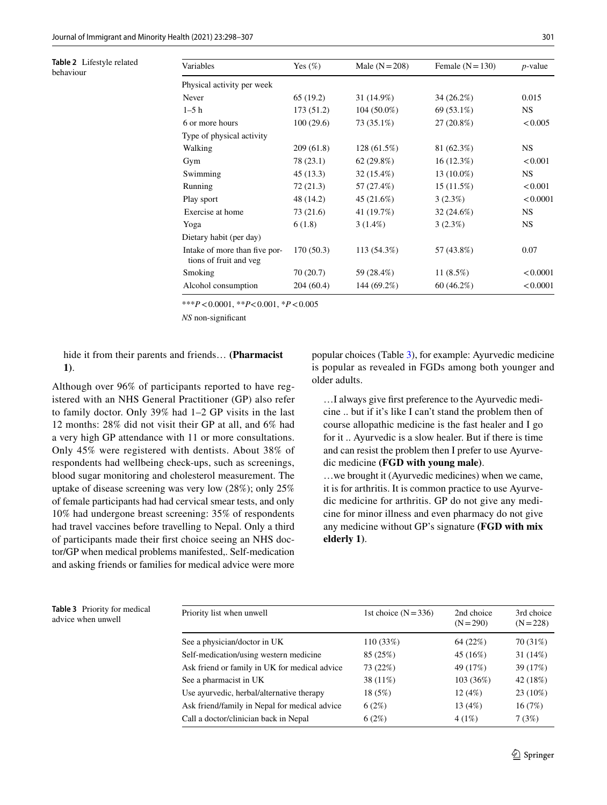<span id="page-3-0"></span>**Table 2** Lifestyle related behaviour

| Variables                                               | Yes $(\%)$ | Male $(N=208)$ | Female $(N=130)$ | $p$ -value |
|---------------------------------------------------------|------------|----------------|------------------|------------|
| Physical activity per week                              |            |                |                  |            |
| Never                                                   | 65 (19.2)  | 31 (14.9%)     | 34(26.2%)        | 0.015      |
| $1-5$ h                                                 | 173(51.2)  | $104(50.0\%)$  | 69 (53.1%)       | <b>NS</b>  |
| 6 or more hours                                         | 100(29.6)  | 73 (35.1%)     | 27 (20.8%)       | < 0.005    |
| Type of physical activity                               |            |                |                  |            |
| Walking                                                 | 209(61.8)  | 128 (61.5%)    | 81 (62.3%)       | <b>NS</b>  |
| Gym                                                     | 78 (23.1)  | 62(29.8%)      | $16(12.3\%)$     | < 0.001    |
| Swimming                                                | 45(13.3)   | $32(15.4\%)$   | 13 (10.0%)       | <b>NS</b>  |
| Running                                                 | 72(21.3)   | 57 (27.4%)     | 15(11.5%)        | < 0.001    |
| Play sport                                              | 48 (14.2)  | 45 (21.6%)     | 3(2.3%)          | < 0.0001   |
| Exercise at home                                        | 73 (21.6)  | 41 (19.7%)     | $32(24.6\%)$     | <b>NS</b>  |
| Yoga                                                    | 6(1.8)     | $3(1.4\%)$     | 3(2.3%)          | NS.        |
| Dietary habit (per day)                                 |            |                |                  |            |
| Intake of more than five por-<br>tions of fruit and veg | 170(50.3)  | 113 (54.3%)    | 57 (43.8%)       | 0.07       |
| Smoking                                                 | 70 (20.7)  | 59 (28.4%)     | 11 $(8.5%)$      | < 0.0001   |
| Alcohol consumption                                     | 204(60.4)  | 144 (69.2%)    | $60(46.2\%)$     | < 0.0001   |
|                                                         |            |                |                  |            |

\*\*\**P*<0.0001, \*\**P*<0.001, \**P*<0.005

*NS* non-signifcant

hide it from their parents and friends… **(Pharmacist 1)**.

Although over 96% of participants reported to have registered with an NHS General Practitioner (GP) also refer to family doctor. Only 39% had 1–2 GP visits in the last 12 months: 28% did not visit their GP at all, and 6% had a very high GP attendance with 11 or more consultations. Only 45% were registered with dentists. About 38% of respondents had wellbeing check-ups, such as screenings, blood sugar monitoring and cholesterol measurement. The uptake of disease screening was very low (28%); only 25% of female participants had had cervical smear tests, and only 10% had undergone breast screening: 35% of respondents had travel vaccines before travelling to Nepal. Only a third of participants made their frst choice seeing an NHS doctor/GP when medical problems manifested,. Self-medication and asking friends or families for medical advice were more

popular choices (Table [3\)](#page-3-1), for example: Ayurvedic medicine is popular as revealed in FGDs among both younger and older adults.

…I always give frst preference to the Ayurvedic medicine .. but if it's like I can't stand the problem then of course allopathic medicine is the fast healer and I go for it .. Ayurvedic is a slow healer. But if there is time and can resist the problem then I prefer to use Ayurvedic medicine **(FGD with young male)**.

…we brought it (Ayurvedic medicines) when we came, it is for arthritis. It is common practice to use Ayurvedic medicine for arthritis. GP do not give any medicine for minor illness and even pharmacy do not give any medicine without GP's signature **(FGD with mix elderly 1)**.

<span id="page-3-1"></span>

| <b>Table 3</b> Priority for medical |  |
|-------------------------------------|--|
| advice when unwell                  |  |

| <b>lable 3</b> Priority for medical<br>advice when unwell | Priority list when unwell                     | 1st choice $(N=336)$ | 2nd choice<br>$(N = 290)$ | 3rd choice<br>$(N = 228)$ |
|-----------------------------------------------------------|-----------------------------------------------|----------------------|---------------------------|---------------------------|
|                                                           | See a physician/doctor in UK                  | 110(33%)             | 64 (22%)                  | 70 (31%)                  |
|                                                           | Self-medication/using western medicine        | 85 (25%)             | 45 (16%)                  | 31(14%)                   |
|                                                           | Ask friend or family in UK for medical advice | 73 (22%)             | 49 (17%)                  | 39 (17%)                  |
|                                                           | See a pharmacist in UK                        | 38 (11%)             | 103(36%)                  | 42 (18%)                  |
|                                                           | Use ayurvedic, herbal/alternative therapy     | 18(5%)               | 12(4%)                    | $23(10\%)$                |
|                                                           | Ask friend/family in Nepal for medical advice | 6(2%)                | 13 (4%)                   | 16(7%)                    |
|                                                           | Call a doctor/clinician back in Nepal         | 6(2%)                | 4(1%)                     | 7(3%)                     |
|                                                           |                                               |                      |                           |                           |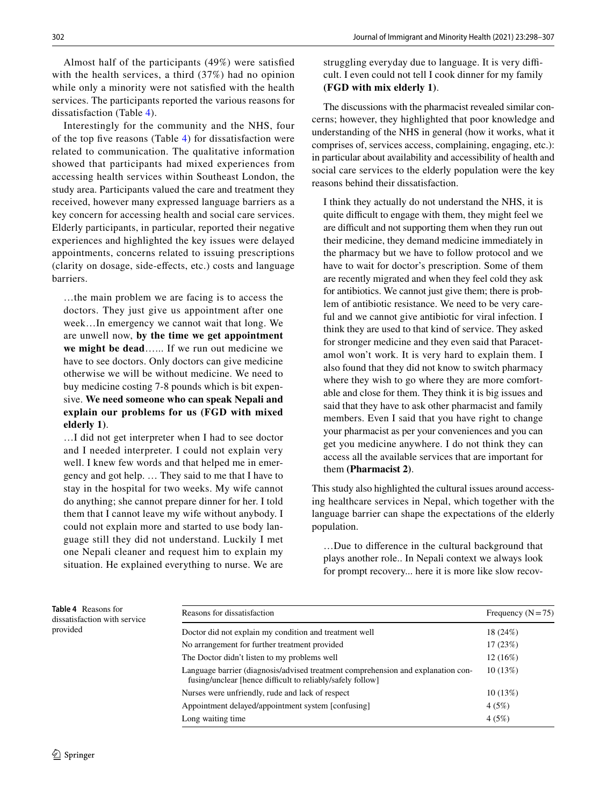Almost half of the participants (49%) were satisfed with the health services, a third (37%) had no opinion while only a minority were not satisfed with the health services. The participants reported the various reasons for dissatisfaction (Table [4](#page-4-0)).

Interestingly for the community and the NHS, four of the top fve reasons (Table [4\)](#page-4-0) for dissatisfaction were related to communication. The qualitative information showed that participants had mixed experiences from accessing health services within Southeast London, the study area. Participants valued the care and treatment they received, however many expressed language barriers as a key concern for accessing health and social care services. Elderly participants, in particular, reported their negative experiences and highlighted the key issues were delayed appointments, concerns related to issuing prescriptions (clarity on dosage, side-efects, etc.) costs and language barriers.

…the main problem we are facing is to access the doctors. They just give us appointment after one week…In emergency we cannot wait that long. We are unwell now, **by the time we get appointment we might be dead**…... If we run out medicine we have to see doctors. Only doctors can give medicine otherwise we will be without medicine. We need to buy medicine costing 7-8 pounds which is bit expensive. **We need someone who can speak Nepali and explain our problems for us (FGD with mixed elderly 1)**.

…I did not get interpreter when I had to see doctor and I needed interpreter. I could not explain very well. I knew few words and that helped me in emergency and got help. … They said to me that I have to stay in the hospital for two weeks. My wife cannot do anything; she cannot prepare dinner for her. I told them that I cannot leave my wife without anybody. I could not explain more and started to use body language still they did not understand. Luckily I met one Nepali cleaner and request him to explain my situation. He explained everything to nurse. We are

struggling everyday due to language. It is very difficult. I even could not tell I cook dinner for my family **(FGD with mix elderly 1)**.

The discussions with the pharmacist revealed similar concerns; however, they highlighted that poor knowledge and understanding of the NHS in general (how it works, what it comprises of, services access, complaining, engaging, etc.): in particular about availability and accessibility of health and social care services to the elderly population were the key reasons behind their dissatisfaction.

I think they actually do not understand the NHS, it is quite difficult to engage with them, they might feel we are difficult and not supporting them when they run out their medicine, they demand medicine immediately in the pharmacy but we have to follow protocol and we have to wait for doctor's prescription. Some of them are recently migrated and when they feel cold they ask for antibiotics. We cannot just give them; there is problem of antibiotic resistance. We need to be very careful and we cannot give antibiotic for viral infection. I think they are used to that kind of service. They asked for stronger medicine and they even said that Paracetamol won't work. It is very hard to explain them. I also found that they did not know to switch pharmacy where they wish to go where they are more comfortable and close for them. They think it is big issues and said that they have to ask other pharmacist and family members. Even I said that you have right to change your pharmacist as per your conveniences and you can get you medicine anywhere. I do not think they can access all the available services that are important for them **(Pharmacist 2)**.

This study also highlighted the cultural issues around accessing healthcare services in Nepal, which together with the language barrier can shape the expectations of the elderly population.

…Due to diference in the cultural background that plays another role.. In Nepali context we always look for prompt recovery... here it is more like slow recov-

<span id="page-4-0"></span>**Table 4** Reasons for dissatisfaction with service provided

| Reasons for dissatisfaction                                                                                                                    | Frequency $(N=75)$ |  |
|------------------------------------------------------------------------------------------------------------------------------------------------|--------------------|--|
| Doctor did not explain my condition and treatment well                                                                                         | 18 (24%)           |  |
| No arrangement for further treatment provided                                                                                                  | 17(23%)            |  |
| The Doctor didn't listen to my problems well                                                                                                   | $12(16\%)$         |  |
| Language barrier (diagnosis/advised treatment comprehension and explanation con-<br>fusing/unclear [hence difficult to reliably/safely follow] | 10(13%)            |  |
| Nurses were unfriendly, rude and lack of respect                                                                                               | 10(13%)            |  |
| Appointment delayed/appointment system [confusing]                                                                                             | 4(5%)              |  |
| Long waiting time                                                                                                                              | 4(5%)              |  |
|                                                                                                                                                |                    |  |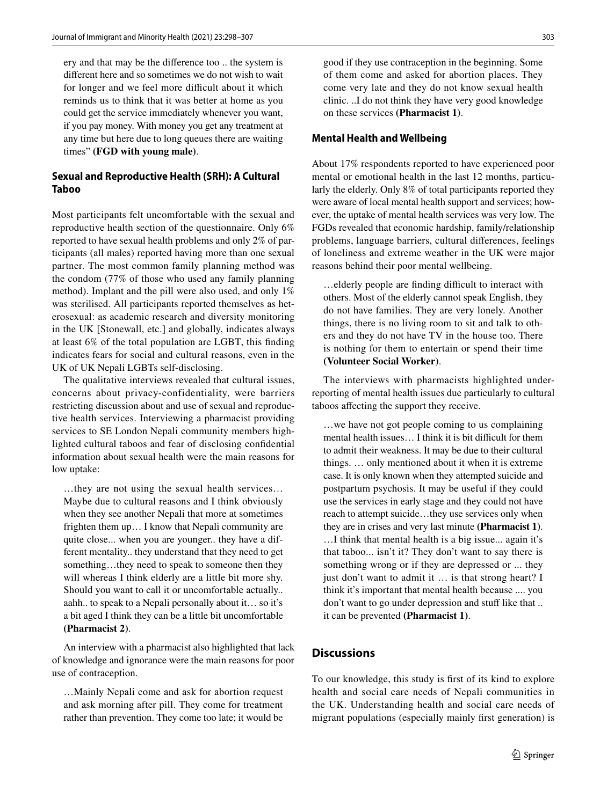ery and that may be the diference too .. the system is diferent here and so sometimes we do not wish to wait for longer and we feel more difficult about it which reminds us to think that it was better at home as you could get the service immediately whenever you want, if you pay money. With money you get any treatment at any time but here due to long queues there are waiting times" **(FGD with young male)**.

# **Sexual and Reproductive Health (SRH): A Cultural Taboo**

Most participants felt uncomfortable with the sexual and reproductive health section of the questionnaire. Only 6% reported to have sexual health problems and only 2% of participants (all males) reported having more than one sexual partner. The most common family planning method was the condom (77% of those who used any family planning method). Implant and the pill were also used, and only 1% was sterilised. All participants reported themselves as heterosexual: as academic research and diversity monitoring in the UK [Stonewall, etc.] and globally, indicates always at least 6% of the total population are LGBT, this fnding indicates fears for social and cultural reasons, even in the UK of UK Nepali LGBTs self-disclosing.

The qualitative interviews revealed that cultural issues, concerns about privacy-confidentiality, were barriers restricting discussion about and use of sexual and reproductive health services. Interviewing a pharmacist providing services to SE London Nepali community members highlighted cultural taboos and fear of disclosing confdential information about sexual health were the main reasons for low uptake:

…they are not using the sexual health services… Maybe due to cultural reasons and I think obviously when they see another Nepali that more at sometimes frighten them up… I know that Nepali community are quite close... when you are younger.. they have a different mentality.. they understand that they need to get something...they need to speak to someone then they will whereas I think elderly are a little bit more shy. Should you want to call it or uncomfortable actually.. aahh.. to speak to a Nepali personally about it… so it's a bit aged I think they can be a little bit uncomfortable **(Pharmacist 2)**.

An interview with a pharmacist also highlighted that lack of knowledge and ignorance were the main reasons for poor use of contraception.

…Mainly Nepali come and ask for abortion request and ask morning after pill. They come for treatment rather than prevention. They come too late; it would be

good if they use contraception in the beginning. Some of them come and asked for abortion places. They come very late and they do not know sexual health clinic. ..I do not think they have very good knowledge on these services **(Pharmacist 1)**.

#### **Mental Health and Wellbeing**

About 17% respondents reported to have experienced poor mental or emotional health in the last 12 months, particularly the elderly. Only 8% of total participants reported they were aware of local mental health support and services; however, the uptake of mental health services was very low. The FGDs revealed that economic hardship, family/relationship problems, language barriers, cultural diferences, feelings of loneliness and extreme weather in the UK were major reasons behind their poor mental wellbeing.

... elderly people are finding difficult to interact with others. Most of the elderly cannot speak English, they do not have families. They are very lonely. Another things, there is no living room to sit and talk to others and they do not have TV in the house too. There is nothing for them to entertain or spend their time **(Volunteer Social Worker)**.

The interviews with pharmacists highlighted underreporting of mental health issues due particularly to cultural taboos afecting the support they receive.

…we have not got people coming to us complaining mental health issues... I think it is bit difficult for them to admit their weakness. It may be due to their cultural things. … only mentioned about it when it is extreme case. It is only known when they attempted suicide and postpartum psychosis. It may be useful if they could use the services in early stage and they could not have reach to attempt suicide…they use services only when they are in crises and very last minute **(Pharmacist 1)**. …I think that mental health is a big issue... again it's that taboo... isn't it? They don't want to say there is something wrong or if they are depressed or ... they just don't want to admit it … is that strong heart? I think it's important that mental health because .... you don't want to go under depression and stuff like that ... it can be prevented **(Pharmacist 1)**.

# **Discussions**

To our knowledge, this study is frst of its kind to explore health and social care needs of Nepali communities in the UK. Understanding health and social care needs of migrant populations (especially mainly frst generation) is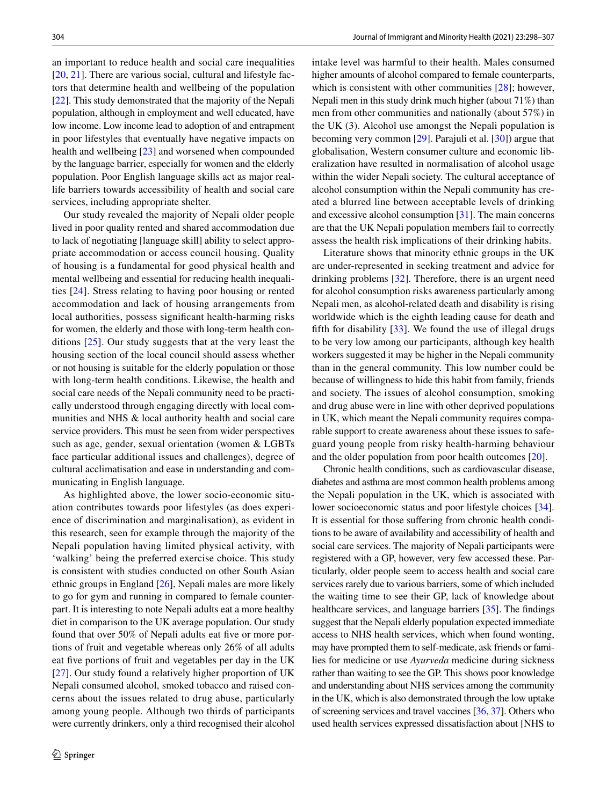an important to reduce health and social care inequalities [\[20,](#page-8-17) [21\]](#page-8-18). There are various social, cultural and lifestyle factors that determine health and wellbeing of the population [\[22](#page-8-19)]. This study demonstrated that the majority of the Nepali population, although in employment and well educated, have low income. Low income lead to adoption of and entrapment in poor lifestyles that eventually have negative impacts on health and wellbeing [[23](#page-8-20)] and worsened when compounded by the language barrier, especially for women and the elderly population. Poor English language skills act as major reallife barriers towards accessibility of health and social care services, including appropriate shelter.

Our study revealed the majority of Nepali older people lived in poor quality rented and shared accommodation due to lack of negotiating [language skill] ability to select appropriate accommodation or access council housing. Quality of housing is a fundamental for good physical health and mental wellbeing and essential for reducing health inequalities [[24](#page-8-21)]. Stress relating to having poor housing or rented accommodation and lack of housing arrangements from local authorities, possess signifcant health-harming risks for women, the elderly and those with long-term health conditions [[25](#page-8-22)]. Our study suggests that at the very least the housing section of the local council should assess whether or not housing is suitable for the elderly population or those with long-term health conditions. Likewise, the health and social care needs of the Nepali community need to be practically understood through engaging directly with local communities and NHS & local authority health and social care service providers. This must be seen from wider perspectives such as age, gender, sexual orientation (women & LGBTs face particular additional issues and challenges), degree of cultural acclimatisation and ease in understanding and communicating in English language.

As highlighted above, the lower socio-economic situation contributes towards poor lifestyles (as does experience of discrimination and marginalisation), as evident in this research, seen for example through the majority of the Nepali population having limited physical activity, with 'walking' being the preferred exercise choice. This study is consistent with studies conducted on other South Asian ethnic groups in England [[26\]](#page-8-23), Nepali males are more likely to go for gym and running in compared to female counterpart. It is interesting to note Nepali adults eat a more healthy diet in comparison to the UK average population. Our study found that over 50% of Nepali adults eat five or more portions of fruit and vegetable whereas only 26% of all adults eat five portions of fruit and vegetables per day in the UK [\[27\]](#page-8-24). Our study found a relatively higher proportion of UK Nepali consumed alcohol, smoked tobacco and raised concerns about the issues related to drug abuse, particularly among young people. Although two thirds of participants were currently drinkers, only a third recognised their alcohol intake level was harmful to their health. Males consumed higher amounts of alcohol compared to female counterparts, which is consistent with other communities [[28](#page-8-25)]; however, Nepali men in this study drink much higher (about 71%) than men from other communities and nationally (about 57%) in the UK (3). Alcohol use amongst the Nepali population is becoming very common [\[29](#page-8-26)]. Parajuli et al. [[30\]](#page-8-27)) argue that globalisation, Western consumer culture and economic liberalization have resulted in normalisation of alcohol usage within the wider Nepali society. The cultural acceptance of alcohol consumption within the Nepali community has created a blurred line between acceptable levels of drinking and excessive alcohol consumption [[31\]](#page-8-28). The main concerns are that the UK Nepali population members fail to correctly assess the health risk implications of their drinking habits.

Literature shows that minority ethnic groups in the UK are under-represented in seeking treatment and advice for drinking problems [[32\]](#page-8-29). Therefore, there is an urgent need for alcohol consumption risks awareness particularly among Nepali men, as alcohol-related death and disability is rising worldwide which is the eighth leading cause for death and fifth for disability  $[33]$  $[33]$ . We found the use of illegal drugs to be very low among our participants, although key health workers suggested it may be higher in the Nepali community than in the general community. This low number could be because of willingness to hide this habit from family, friends and society. The issues of alcohol consumption, smoking and drug abuse were in line with other deprived populations in UK, which meant the Nepali community requires comparable support to create awareness about these issues to safeguard young people from risky health-harming behaviour and the older population from poor health outcomes [[20\]](#page-8-17).

Chronic health conditions, such as cardiovascular disease, diabetes and asthma are most common health problems among the Nepali population in the UK, which is associated with lower socioeconomic status and poor lifestyle choices [\[34](#page-8-31)]. It is essential for those suffering from chronic health conditions to be aware of availability and accessibility of health and social care services. The majority of Nepali participants were registered with a GP, however, very few accessed these. Particularly, older people seem to access health and social care services rarely due to various barriers, some of which included the waiting time to see their GP, lack of knowledge about healthcare services, and language barriers [[35](#page-8-32)]. The findings suggest that the Nepali elderly population expected immediate access to NHS health services, which when found wonting, may have prompted them to self-medicate, ask friends or families for medicine or use *Ayurveda* medicine during sickness rather than waiting to see the GP. This shows poor knowledge and understanding about NHS services among the community in the UK, which is also demonstrated through the low uptake of screening services and travel vaccines [\[36](#page-8-33), [37](#page-8-34)]. Others who used health services expressed dissatisfaction about [NHS to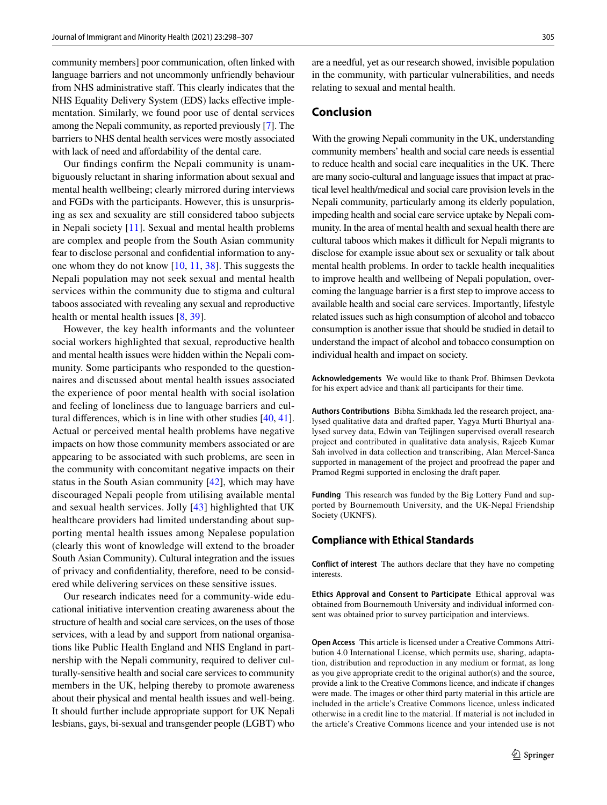community members] poor communication, often linked with language barriers and not uncommonly unfriendly behaviour from NHS administrative staf. This clearly indicates that the NHS Equality Delivery System (EDS) lacks effective implementation. Similarly, we found poor use of dental services among the Nepali community, as reported previously [\[7](#page-8-5)]. The barriers to NHS dental health services were mostly associated with lack of need and affordability of the dental care.

Our fndings confrm the Nepali community is unambiguously reluctant in sharing information about sexual and mental health wellbeing; clearly mirrored during interviews and FGDs with the participants. However, this is unsurprising as sex and sexuality are still considered taboo subjects in Nepali society [[11\]](#page-8-8). Sexual and mental health problems are complex and people from the South Asian community fear to disclose personal and confdential information to anyone whom they do not know [\[10](#page-8-35), [11](#page-8-8), [38](#page-8-36)]. This suggests the Nepali population may not seek sexual and mental health services within the community due to stigma and cultural taboos associated with revealing any sexual and reproductive health or mental health issues [\[8](#page-8-7), [39\]](#page-8-37).

However, the key health informants and the volunteer social workers highlighted that sexual, reproductive health and mental health issues were hidden within the Nepali community. Some participants who responded to the questionnaires and discussed about mental health issues associated the experience of poor mental health with social isolation and feeling of loneliness due to language barriers and cultural diferences, which is in line with other studies [[40,](#page-8-38) [41](#page-9-0)]. Actual or perceived mental health problems have negative impacts on how those community members associated or are appearing to be associated with such problems, are seen in the community with concomitant negative impacts on their status in the South Asian community [[42\]](#page-9-1), which may have discouraged Nepali people from utilising available mental and sexual health services. Jolly [[43](#page-9-2)] highlighted that UK healthcare providers had limited understanding about supporting mental health issues among Nepalese population (clearly this wont of knowledge will extend to the broader South Asian Community). Cultural integration and the issues of privacy and confdentiality, therefore, need to be considered while delivering services on these sensitive issues.

Our research indicates need for a community-wide educational initiative intervention creating awareness about the structure of health and social care services, on the uses of those services, with a lead by and support from national organisations like Public Health England and NHS England in partnership with the Nepali community, required to deliver culturally-sensitive health and social care services to community members in the UK, helping thereby to promote awareness about their physical and mental health issues and well-being. It should further include appropriate support for UK Nepali lesbians, gays, bi-sexual and transgender people (LGBT) who

are a needful, yet as our research showed, invisible population in the community, with particular vulnerabilities, and needs relating to sexual and mental health.

## **Conclusion**

With the growing Nepali community in the UK, understanding community members' health and social care needs is essential to reduce health and social care inequalities in the UK. There are many socio-cultural and language issues that impact at practical level health/medical and social care provision levels in the Nepali community, particularly among its elderly population, impeding health and social care service uptake by Nepali community. In the area of mental health and sexual health there are cultural taboos which makes it difficult for Nepali migrants to disclose for example issue about sex or sexuality or talk about mental health problems. In order to tackle health inequalities to improve health and wellbeing of Nepali population, overcoming the language barrier is a frst step to improve access to available health and social care services. Importantly, lifestyle related issues such as high consumption of alcohol and tobacco consumption is another issue that should be studied in detail to understand the impact of alcohol and tobacco consumption on individual health and impact on society.

**Acknowledgements** We would like to thank Prof. Bhimsen Devkota for his expert advice and thank all participants for their time.

**Authors Contributions** Bibha Simkhada led the research project, analysed qualitative data and drafted paper, Yagya Murti Bhurtyal analysed survey data, Edwin van Teijlingen supervised overall research project and contributed in qualitative data analysis, Rajeeb Kumar Sah involved in data collection and transcribing, Alan Mercel-Sanca supported in management of the project and proofread the paper and Pramod Regmi supported in enclosing the draft paper.

**Funding** This research was funded by the Big Lottery Fund and supported by Bournemouth University, and the UK-Nepal Friendship Society (UKNFS).

#### **Compliance with Ethical Standards**

**Conflict of interest** The authors declare that they have no competing interests.

**Ethics Approval and Consent to Participate** Ethical approval was obtained from Bournemouth University and individual informed consent was obtained prior to survey participation and interviews.

**Open Access** This article is licensed under a Creative Commons Attribution 4.0 International License, which permits use, sharing, adaptation, distribution and reproduction in any medium or format, as long as you give appropriate credit to the original author(s) and the source, provide a link to the Creative Commons licence, and indicate if changes were made. The images or other third party material in this article are included in the article's Creative Commons licence, unless indicated otherwise in a credit line to the material. If material is not included in the article's Creative Commons licence and your intended use is not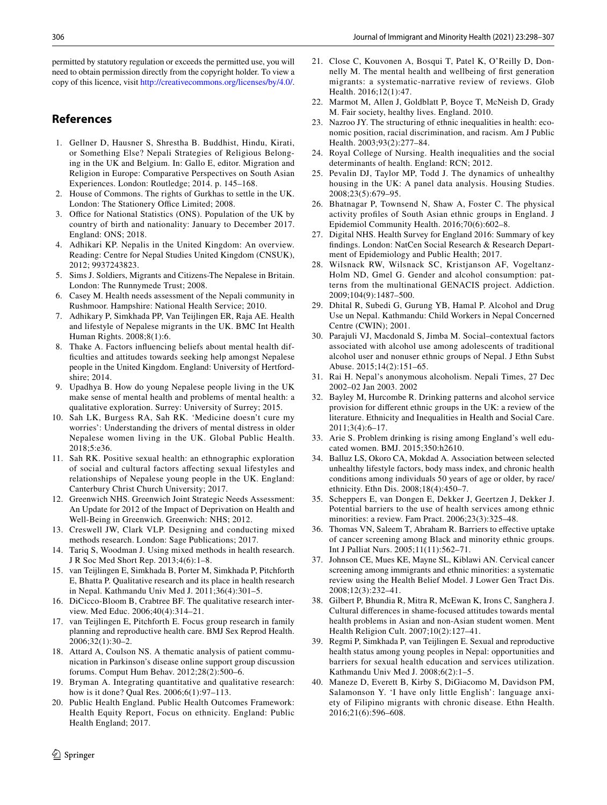permitted by statutory regulation or exceeds the permitted use, you will need to obtain permission directly from the copyright holder. To view a copy of this licence, visit <http://creativecommons.org/licenses/by/4.0/>.

## **References**

- <span id="page-8-0"></span>1. Gellner D, Hausner S, Shrestha B. Buddhist, Hindu, Kirati, or Something Else? Nepali Strategies of Religious Belonging in the UK and Belgium. In: Gallo E, editor. Migration and Religion in Europe: Comparative Perspectives on South Asian Experiences. London: Routledge; 2014. p. 145–168.
- <span id="page-8-1"></span>2. House of Commons. The rights of Gurkhas to settle in the UK. London: The Stationery Office Limited; 2008.
- <span id="page-8-2"></span>3. Office for National Statistics (ONS). Population of the UK by country of birth and nationality: January to December 2017. England: ONS; 2018.
- <span id="page-8-3"></span>4. Adhikari KP. Nepalis in the United Kingdom: An overview. Reading: Centre for Nepal Studies United Kingdom (CNSUK), 2012; 9937243823.
- <span id="page-8-4"></span>5. Sims J. Soldiers, Migrants and Citizens-The Nepalese in Britain. London: The Runnymede Trust; 2008.
- <span id="page-8-6"></span>6. Casey M. Health needs assessment of the Nepali community in Rushmoor. Hampshire: National Health Service; 2010.
- <span id="page-8-5"></span>7. Adhikary P, Simkhada PP, Van Teijlingen ER, Raja AE. Health and lifestyle of Nepalese migrants in the UK. BMC Int Health Human Rights. 2008;8(1):6.
- <span id="page-8-7"></span>8. Thake A. Factors infuencing beliefs about mental health diffculties and attitudes towards seeking help amongst Nepalese people in the United Kingdom. England: University of Hertfordshire; 2014.
- 9. Upadhya B. How do young Nepalese people living in the UK make sense of mental health and problems of mental health: a qualitative exploration. Surrey: University of Surrey; 2015.
- <span id="page-8-35"></span>10. Sah LK, Burgess RA, Sah RK. 'Medicine doesn't cure my worries': Understanding the drivers of mental distress in older Nepalese women living in the UK. Global Public Health. 2018;5:e36.
- <span id="page-8-8"></span>11. Sah RK. Positive sexual health: an ethnographic exploration of social and cultural factors afecting sexual lifestyles and relationships of Nepalese young people in the UK. England: Canterbury Christ Church University; 2017.
- <span id="page-8-9"></span>12. Greenwich NHS. Greenwich Joint Strategic Needs Assessment: An Update for 2012 of the Impact of Deprivation on Health and Well-Being in Greenwich. Greenwich: NHS; 2012.
- <span id="page-8-10"></span>13. Creswell JW, Clark VLP. Designing and conducting mixed methods research. London: Sage Publications; 2017.
- <span id="page-8-11"></span>14. Tariq S, Woodman J. Using mixed methods in health research. J R Soc Med Short Rep. 2013;4(6):1–8.
- <span id="page-8-12"></span>15. van Teijlingen E, Simkhada B, Porter M, Simkhada P, Pitchforth E, Bhatta P. Qualitative research and its place in health research in Nepal. Kathmandu Univ Med J. 2011;36(4):301–5.
- <span id="page-8-13"></span>16. DiCicco-Bloom B, Crabtree BF. The qualitative research interview. Med Educ. 2006;40(4):314–21.
- <span id="page-8-14"></span>17. van Teijlingen E, Pitchforth E. Focus group research in family planning and reproductive health care. BMJ Sex Reprod Health. 2006;32(1):30–2.
- <span id="page-8-15"></span>18. Attard A, Coulson NS. A thematic analysis of patient communication in Parkinson's disease online support group discussion forums. Comput Hum Behav. 2012;28(2):500–6.
- <span id="page-8-16"></span>19. Bryman A. Integrating quantitative and qualitative research: how is it done? Qual Res. 2006;6(1):97–113.
- <span id="page-8-17"></span>20. Public Health England. Public Health Outcomes Framework: Health Equity Report, Focus on ethnicity. England: Public Health England; 2017.
- <span id="page-8-18"></span>21. Close C, Kouvonen A, Bosqui T, Patel K, O'Reilly D, Donnelly M. The mental health and wellbeing of frst generation migrants: a systematic-narrative review of reviews. Glob Health. 2016;12(1):47.
- <span id="page-8-19"></span>22. Marmot M, Allen J, Goldblatt P, Boyce T, McNeish D, Grady M. Fair society, healthy lives. England. 2010.
- <span id="page-8-20"></span>23. Nazroo JY. The structuring of ethnic inequalities in health: economic position, racial discrimination, and racism. Am J Public Health. 2003;93(2):277–84.
- <span id="page-8-21"></span>24. Royal College of Nursing. Health inequalities and the social determinants of health. England: RCN; 2012.
- <span id="page-8-22"></span>25. Pevalin DJ, Taylor MP, Todd J. The dynamics of unhealthy housing in the UK: A panel data analysis. Housing Studies. 2008;23(5):679–95.
- <span id="page-8-23"></span>26. Bhatnagar P, Townsend N, Shaw A, Foster C. The physical activity profles of South Asian ethnic groups in England. J Epidemiol Community Health. 2016;70(6):602–8.
- <span id="page-8-24"></span>27. Digital NHS. Health Survey for England 2016: Summary of key fndings. London: NatCen Social Research & Research Department of Epidemiology and Public Health; 2017.
- <span id="page-8-25"></span>28. Wilsnack RW, Wilsnack SC, Kristjanson AF, Vogeltanz-Holm ND, Gmel G. Gender and alcohol consumption: patterns from the multinational GENACIS project. Addiction. 2009;104(9):1487–500.
- <span id="page-8-26"></span>29. Dhital R, Subedi G, Gurung YB, Hamal P. Alcohol and Drug Use un Nepal. Kathmandu: Child Workers in Nepal Concerned Centre (CWIN); 2001.
- <span id="page-8-27"></span>30. Parajuli VJ, Macdonald S, Jimba M. Social–contextual factors associated with alcohol use among adolescents of traditional alcohol user and nonuser ethnic groups of Nepal. J Ethn Subst Abuse. 2015;14(2):151–65.
- <span id="page-8-28"></span>31. Rai H. Nepal's anonymous alcoholism. Nepali Times, 27 Dec 2002–02 Jan 2003. 2002
- <span id="page-8-29"></span>32. Bayley M, Hurcombe R. Drinking patterns and alcohol service provision for diferent ethnic groups in the UK: a review of the literature. Ethnicity and Inequalities in Health and Social Care. 2011;3(4):6–17.
- <span id="page-8-30"></span>33. Arie S. Problem drinking is rising among England's well educated women. BMJ. 2015;350:h2610.
- <span id="page-8-31"></span>34. Balluz LS, Okoro CA, Mokdad A. Association between selected unhealthy lifestyle factors, body mass index, and chronic health conditions among individuals 50 years of age or older, by race/ ethnicity. Ethn Dis. 2008;18(4):450–7.
- <span id="page-8-32"></span>35. Scheppers E, van Dongen E, Dekker J, Geertzen J, Dekker J. Potential barriers to the use of health services among ethnic minorities: a review. Fam Pract. 2006;23(3):325–48.
- <span id="page-8-33"></span>36. Thomas VN, Saleem T, Abraham R. Barriers to efective uptake of cancer screening among Black and minority ethnic groups. Int J Palliat Nurs. 2005;11(11):562–71.
- <span id="page-8-34"></span>37. Johnson CE, Mues KE, Mayne SL, Kiblawi AN. Cervical cancer screening among immigrants and ethnic minorities: a systematic review using the Health Belief Model. J Lower Gen Tract Dis. 2008;12(3):232–41.
- <span id="page-8-36"></span>38. Gilbert P, Bhundia R, Mitra R, McEwan K, Irons C, Sanghera J. Cultural diferences in shame-focused attitudes towards mental health problems in Asian and non-Asian student women. Ment Health Religion Cult. 2007;10(2):127–41.
- <span id="page-8-37"></span>39. Regmi P, Simkhada P, van Teijlingen E. Sexual and reproductive health status among young peoples in Nepal: opportunities and barriers for sexual health education and services utilization. Kathmandu Univ Med J. 2008;6(2):1–5.
- <span id="page-8-38"></span>40. Maneze D, Everett B, Kirby S, DiGiacomo M, Davidson PM, Salamonson Y. 'I have only little English': language anxiety of Filipino migrants with chronic disease. Ethn Health. 2016;21(6):596–608.